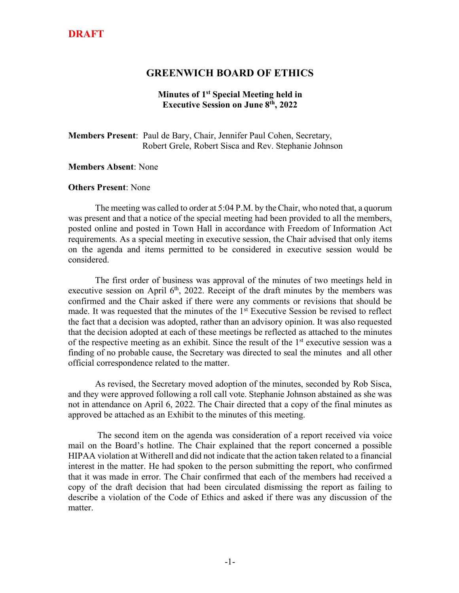## **DRAFT**

#### **GREENWICH BOARD OF ETHICS**

#### **Minutes of 1st Special Meeting held in Executive Session on June 8th, 2022**

**Members Present**: Paul de Bary, Chair, Jennifer Paul Cohen, Secretary, Robert Grele, Robert Sisca and Rev. Stephanie Johnson

#### **Members Absent**: None

#### **Others Present**: None

The meeting was called to order at 5:04 P.M. by the Chair, who noted that, a quorum was present and that a notice of the special meeting had been provided to all the members, posted online and posted in Town Hall in accordance with Freedom of Information Act requirements. As a special meeting in executive session, the Chair advised that only items on the agenda and items permitted to be considered in executive session would be considered.

The first order of business was approval of the minutes of two meetings held in executive session on April  $6<sup>th</sup>$ , 2022. Receipt of the draft minutes by the members was confirmed and the Chair asked if there were any comments or revisions that should be made. It was requested that the minutes of the 1<sup>st</sup> Executive Session be revised to reflect the fact that a decision was adopted, rather than an advisory opinion. It was also requested that the decision adopted at each of these meetings be reflected as attached to the minutes of the respective meeting as an exhibit. Since the result of the 1st executive session was a finding of no probable cause, the Secretary was directed to seal the minutes and all other official correspondence related to the matter.

As revised, the Secretary moved adoption of the minutes, seconded by Rob Sisca, and they were approved following a roll call vote. Stephanie Johnson abstained as she was not in attendance on April 6, 2022. The Chair directed that a copy of the final minutes as approved be attached as an Exhibit to the minutes of this meeting.

The second item on the agenda was consideration of a report received via voice mail on the Board's hotline. The Chair explained that the report concerned a possible HIPAA violation at Witherell and did not indicate that the action taken related to a financial interest in the matter. He had spoken to the person submitting the report, who confirmed that it was made in error. The Chair confirmed that each of the members had received a copy of the draft decision that had been circulated dismissing the report as failing to describe a violation of the Code of Ethics and asked if there was any discussion of the matter.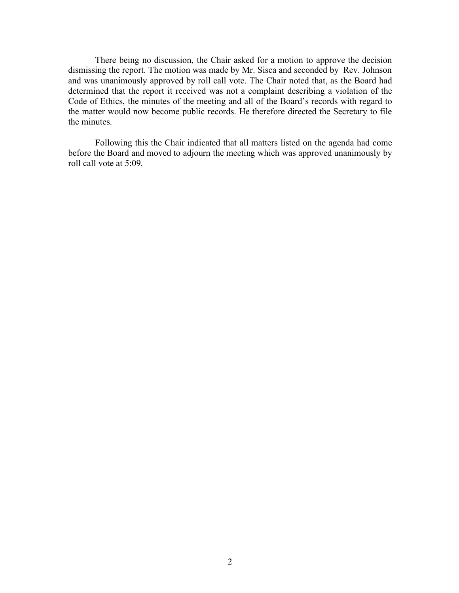There being no discussion, the Chair asked for a motion to approve the decision dismissing the report. The motion was made by Mr. Sisca and seconded by Rev. Johnson and was unanimously approved by roll call vote. The Chair noted that, as the Board had determined that the report it received was not a complaint describing a violation of the Code of Ethics, the minutes of the meeting and all of the Board's records with regard to the matter would now become public records. He therefore directed the Secretary to file the minutes.

Following this the Chair indicated that all matters listed on the agenda had come before the Board and moved to adjourn the meeting which was approved unanimously by roll call vote at 5:09.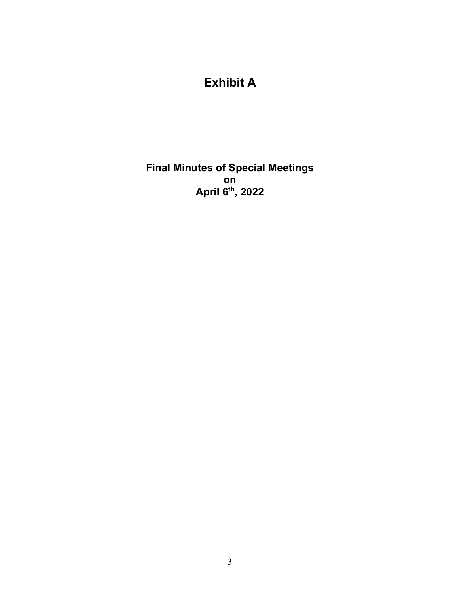# **Exhibit A**

**Final Minutes of Special Meetings on April 6th, 2022**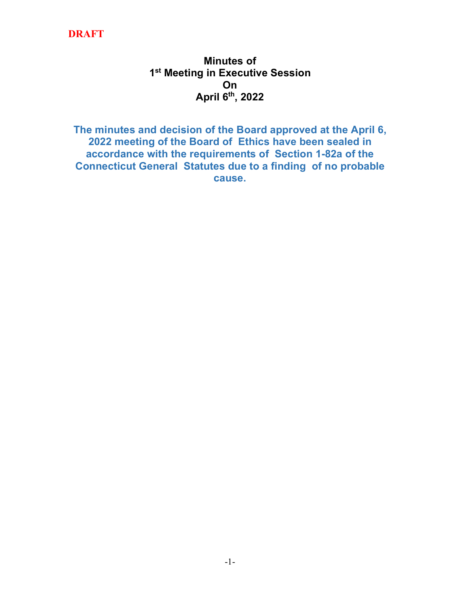# **DRAFT**

# **Minutes of 1st Meeting in Executive Session On April 6th, 2022**

**The minutes and decision of the Board approved at the April 6, 2022 meeting of the Board of Ethics have been sealed in accordance with the requirements of Section 1-82a of the Connecticut General Statutes due to a finding of no probable cause.**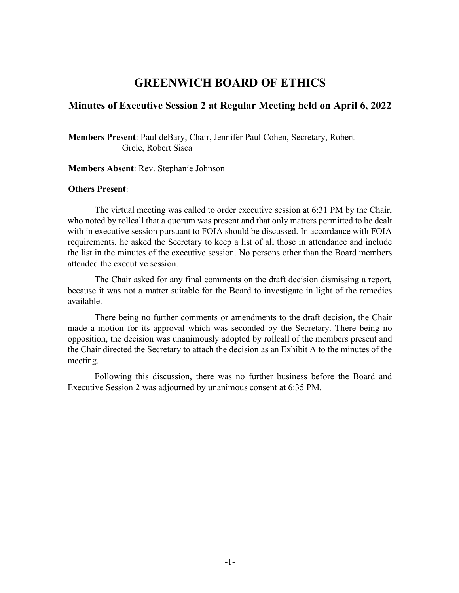### **GREENWICH BOARD OF ETHICS**

#### **Minutes of Executive Session 2 at Regular Meeting held on April 6, 2022**

**Members Present**: Paul deBary, Chair, Jennifer Paul Cohen, Secretary, Robert Grele, Robert Sisca

**Members Absent**: Rev. Stephanie Johnson

#### **Others Present**:

The virtual meeting was called to order executive session at 6:31 PM by the Chair, who noted by rollcall that a quorum was present and that only matters permitted to be dealt with in executive session pursuant to FOIA should be discussed. In accordance with FOIA requirements, he asked the Secretary to keep a list of all those in attendance and include the list in the minutes of the executive session. No persons other than the Board members attended the executive session.

The Chair asked for any final comments on the draft decision dismissing a report, because it was not a matter suitable for the Board to investigate in light of the remedies available.

There being no further comments or amendments to the draft decision, the Chair made a motion for its approval which was seconded by the Secretary. There being no opposition, the decision was unanimously adopted by rollcall of the members present and the Chair directed the Secretary to attach the decision as an Exhibit A to the minutes of the meeting.

Following this discussion, there was no further business before the Board and Executive Session 2 was adjourned by unanimous consent at 6:35 PM.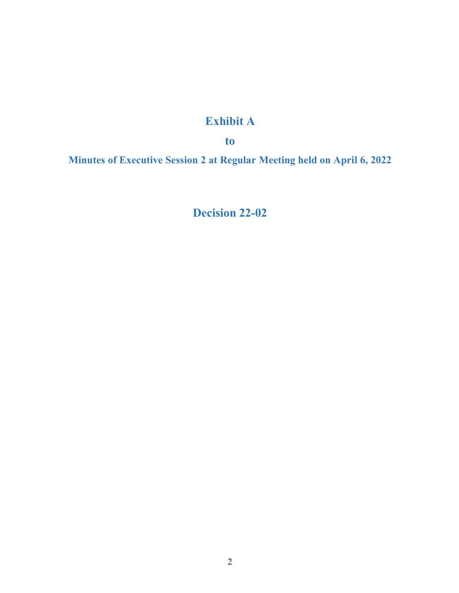# **Exhibit A**

**to**

**Minutes of Executive Session 2 at Regular Meeting held on April 6, 2022**

**Decision 22-02**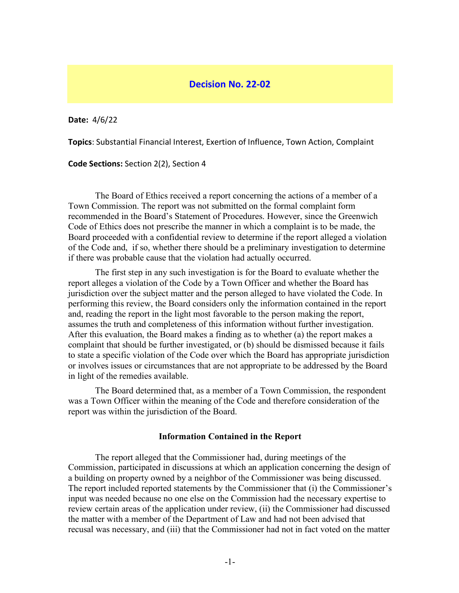#### **Decision No. 22-02**

**Date:** 4/6/22

**Topics**: Substantial Financial Interest, Exertion of Influence, Town Action, Complaint

**Code Sections:** Section 2(2), Section 4

The Board of Ethics received a report concerning the actions of a member of a Town Commission. The report was not submitted on the formal complaint form recommended in the Board's Statement of Procedures. However, since the Greenwich Code of Ethics does not prescribe the manner in which a complaint is to be made, the Board proceeded with a confidential review to determine if the report alleged a violation of the Code and, if so, whether there should be a preliminary investigation to determine if there was probable cause that the violation had actually occurred.

The first step in any such investigation is for the Board to evaluate whether the report alleges a violation of the Code by a Town Officer and whether the Board has jurisdiction over the subject matter and the person alleged to have violated the Code. In performing this review, the Board considers only the information contained in the report and, reading the report in the light most favorable to the person making the report, assumes the truth and completeness of this information without further investigation. After this evaluation, the Board makes a finding as to whether (a) the report makes a complaint that should be further investigated, or (b) should be dismissed because it fails to state a specific violation of the Code over which the Board has appropriate jurisdiction or involves issues or circumstances that are not appropriate to be addressed by the Board in light of the remedies available.

The Board determined that, as a member of a Town Commission, the respondent was a Town Officer within the meaning of the Code and therefore consideration of the report was within the jurisdiction of the Board.

#### **Information Contained in the Report**

The report alleged that the Commissioner had, during meetings of the Commission, participated in discussions at which an application concerning the design of a building on property owned by a neighbor of the Commissioner was being discussed. The report included reported statements by the Commissioner that (i) the Commissioner's input was needed because no one else on the Commission had the necessary expertise to review certain areas of the application under review, (ii) the Commissioner had discussed the matter with a member of the Department of Law and had not been advised that recusal was necessary, and (iii) that the Commissioner had not in fact voted on the matter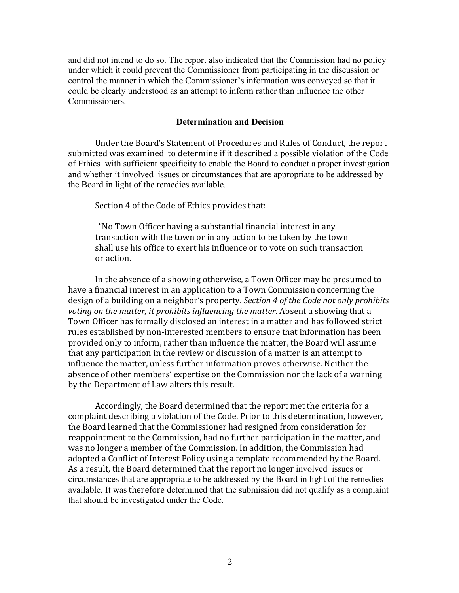and did not intend to do so. The report also indicated that the Commission had no policy under which it could prevent the Commissioner from participating in the discussion or control the manner in which the Commissioner's information was conveyed so that it could be clearly understood as an attempt to inform rather than influence the other Commissioners.

#### **Determination and Decision**

Under the Board's Statement of Procedures and Rules of Conduct, the report submitted was examined to determine if it described a possible violation of the Code of Ethics with sufficient specificity to enable the Board to conduct a proper investigation and whether it involved issues or circumstances that are appropriate to be addressed by the Board in light of the remedies available.

Section 4 of the Code of Ethics provides that:

"No Town Officer having a substantial financial interest in any transaction with the town or in any action to be taken by the town shall use his office to exert his influence or to vote on such transaction or action.

In the absence of a showing otherwise, a Town Officer may be presumed to have a financial interest in an application to a Town Commission concerning the design of a building on a neighbor's property. *Section 4 of the Code not only prohibits voting* on the matter, it prohibits influencing the matter. Absent a showing that a Town Officer has formally disclosed an interest in a matter and has followed strict rules established by non-interested members to ensure that information has been provided only to inform, rather than influence the matter, the Board will assume that any participation in the review or discussion of a matter is an attempt to influence the matter, unless further information proves otherwise. Neither the absence of other members' expertise on the Commission nor the lack of a warning by the Department of Law alters this result.

Accordingly, the Board determined that the report met the criteria for a complaint describing a violation of the Code. Prior to this determination, however, the Board learned that the Commissioner had resigned from consideration for reappointment to the Commission, had no further participation in the matter, and was no longer a member of the Commission. In addition, the Commission had adopted a Conflict of Interest Policy using a template recommended by the Board. As a result, the Board determined that the report no longer involved issues or circumstances that are appropriate to be addressed by the Board in light of the remedies available. It was therefore determined that the submission did not qualify as a complaint that should be investigated under the Code.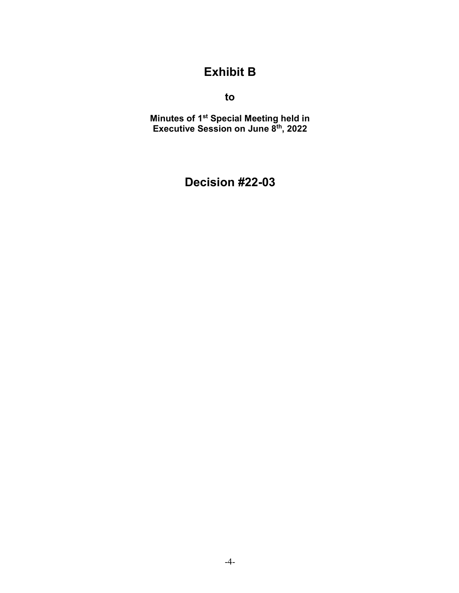# **Exhibit B**

**to**

**Minutes of 1st Special Meeting held in Executive Session on June 8th, 2022**

# **Decision #22-03**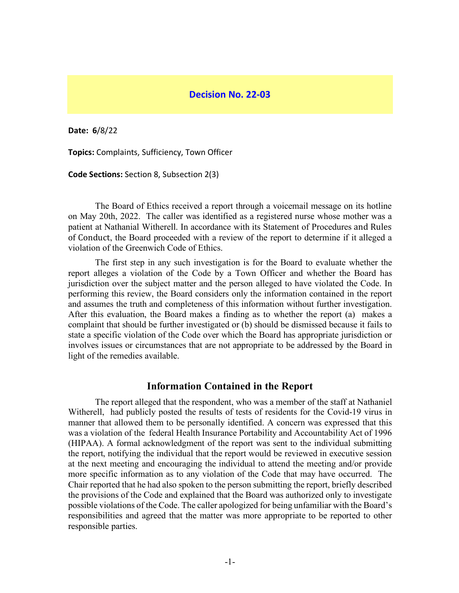#### **Decision No. 22-03**

**Date: 6**/8/22

**Topics:** Complaints, Sufficiency, Town Officer

**Code Sections:** Section 8, Subsection 2(3)

The Board of Ethics received a report through a voicemail message on its hotline on May 20th, 2022. The caller was identified as a registered nurse whose mother was a patient at Nathanial Witherell. In accordance with its Statement of Procedures and Rules of Conduct, the Board proceeded with a review of the report to determine if it alleged a violation of the Greenwich Code of Ethics.

The first step in any such investigation is for the Board to evaluate whether the report alleges a violation of the Code by a Town Officer and whether the Board has jurisdiction over the subject matter and the person alleged to have violated the Code. In performing this review, the Board considers only the information contained in the report and assumes the truth and completeness of this information without further investigation. After this evaluation, the Board makes a finding as to whether the report (a) makes a complaint that should be further investigated or (b) should be dismissed because it fails to state a specific violation of the Code over which the Board has appropriate jurisdiction or involves issues or circumstances that are not appropriate to be addressed by the Board in light of the remedies available.

#### **Information Contained in the Report**

The report alleged that the respondent, who was a member of the staff at Nathaniel Witherell, had publicly posted the results of tests of residents for the Covid-19 virus in manner that allowed them to be personally identified. A concern was expressed that this was a violation of the federal Health Insurance Portability and Accountability Act of 1996 (HIPAA). A formal acknowledgment of the report was sent to the individual submitting the report, notifying the individual that the report would be reviewed in executive session at the next meeting and encouraging the individual to attend the meeting and/or provide more specific information as to any violation of the Code that may have occurred. The Chair reported that he had also spoken to the person submitting the report, briefly described the provisions of the Code and explained that the Board was authorized only to investigate possible violations of the Code. The caller apologized for being unfamiliar with the Board's responsibilities and agreed that the matter was more appropriate to be reported to other responsible parties.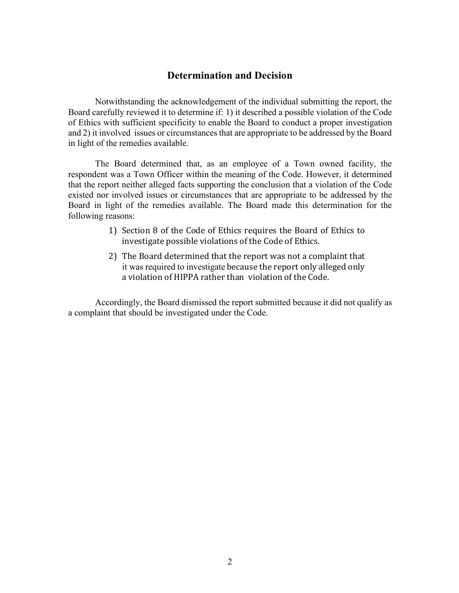### **Determination and Decision**

Notwithstanding the acknowledgement of the individual submitting the report, the Board carefully reviewed it to determine if: 1) it described a possible violation of the Code of Ethics with sufficient specificity to enable the Board to conduct a proper investigation and 2) it involved issues or circumstances that are appropriate to be addressed by the Board in light of the remedies available.

The Board determined that, as an employee of a Town owned facility, the respondent was a Town Officer within the meaning of the Code. However, it determined that the report neither alleged facts supporting the conclusion that a violation of the Code existed nor involved issues or circumstances that are appropriate to be addressed by the Board in light of the remedies available. The Board made this determination for the following reasons:

- 1) Section 8 of the Code of Ethics requires the Board of Ethics to investigate possible violations of the Code of Ethics.
- 2) The Board determined that the report was not a complaint that it was required to investigate because the report only alleged only a violation of HIPPA rather than violation of the Code.

Accordingly, the Board dismissed the report submitted because it did not qualify as a complaint that should be investigated under the Code.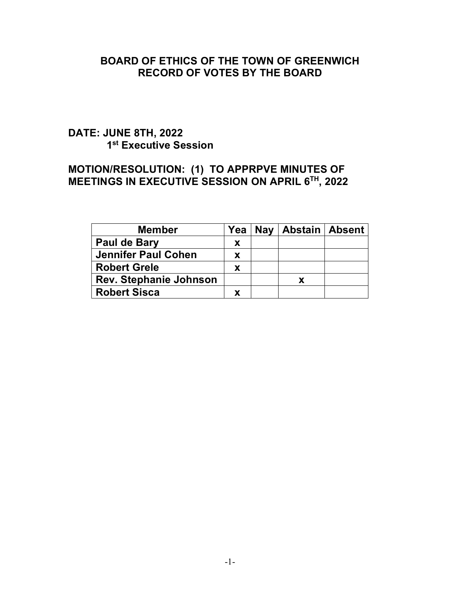## **BOARD OF ETHICS OF THE TOWN OF GREENWICH RECORD OF VOTES BY THE BOARD**

# **DATE: JUNE 8TH, 2022 1st Executive Session**

### **MOTION/RESOLUTION: (1) TO APPRPVE MINUTES OF MEETINGS IN EXECUTIVE SESSION ON APRIL 6TH, 2022**

| <b>Member</b>                 | Yea      | Nay   Abstain   Absent |  |
|-------------------------------|----------|------------------------|--|
| Paul de Bary                  | X        |                        |  |
| <b>Jennifer Paul Cohen</b>    | <b>X</b> |                        |  |
| <b>Robert Grele</b>           | <b>X</b> |                        |  |
| <b>Rev. Stephanie Johnson</b> |          | X                      |  |
| <b>Robert Sisca</b>           |          |                        |  |